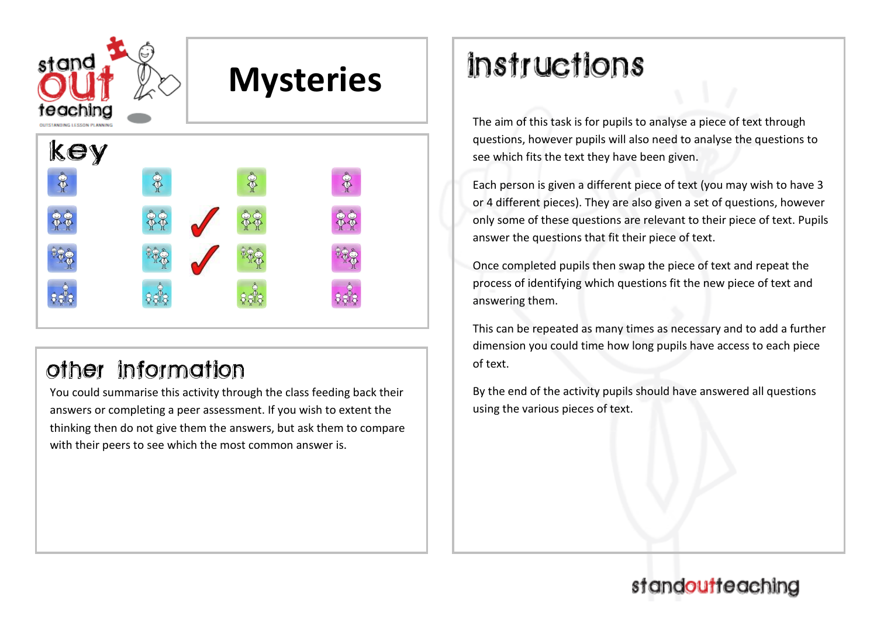

## other information

You could summarise this activity through the class feeding back their answers or completing a peer assessment. If you wish to extent the thinking then do not give them the answers, but ask them to compare with their peers to see which the most common answer is.

# *instructions*

The aim of this task is for pupils to analyse a piece of text through questions, however pupils will also need to analyse the questions to see which fits the text they have been given.

Each person is given a different piece of text (you may wish to have 3 or 4 different pieces). They are also given a set of questions, however only some of these questions are relevant to their piece of text. Pupils answer the questions that fit their piece of text.

Once completed pupils then swap the piece of text and repeat the process of identifying which questions fit the new piece of text and answering them.

This can be repeated as many times as necessary and to add a further dimension you could time how long pupils have access to each piece of text.

By the end of the activity pupils should have answered all questions using the various pieces of text.

## standoutteaching